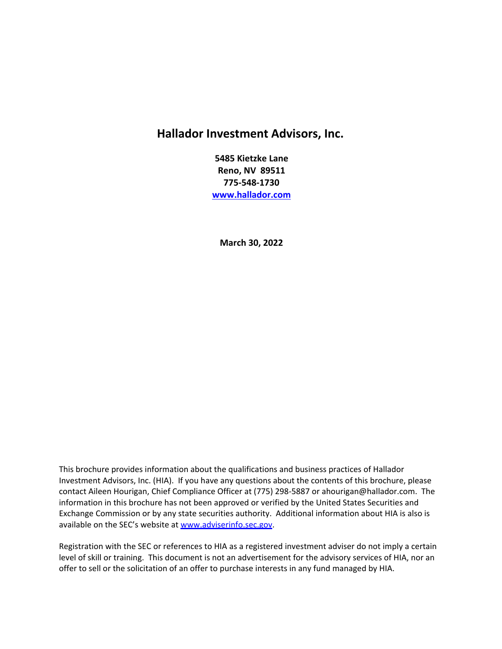# **Hallador Investment Advisors, Inc.**

**5485 Kietzke Lane Reno, NV 89511 775-548-1730 [www.hallador.com](http://www.hallador.com/)**

**March 30, 2022**

This brochure provides information about the qualifications and business practices of Hallador Investment Advisors, Inc. (HIA). If you have any questions about the contents of this brochure, please contact Aileen Hourigan, Chief Compliance Officer at (775) 298-5887 o[r ahourigan@hallador.com.](mailto:David@hallador.com) The information in this brochure has not been approved or verified by the United States Securities and Exchange Commission or by any state securities authority.Additional information about HIA is also is available on the SEC's website at [www.adviserinfo.sec.gov.](http://www.adviserinfo.sec.gov/)

Registration with the SEC or references to HIA as a registered investment adviser do not imply a certain level of skill or training. This document is not an advertisement for the advisory services of HIA, nor an offer to sell or the solicitation of an offer to purchase interests in any fund managed by HIA.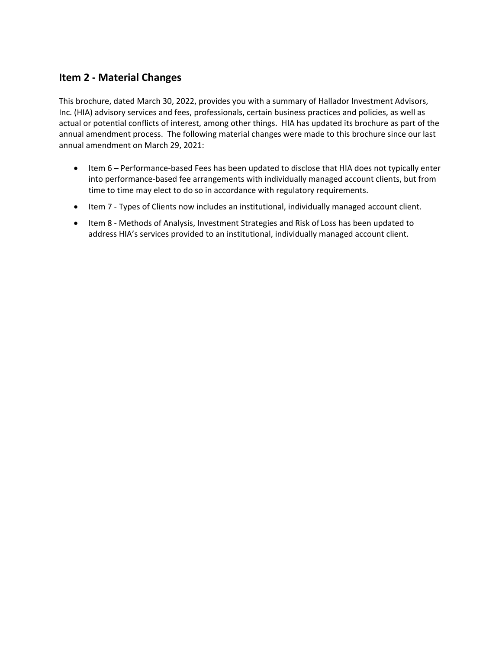## **Item 2 - Material Changes**

This brochure, dated March 30, 2022, provides you with a summary of Hallador Investment Advisors, Inc. (HIA) advisory services and fees, professionals, certain business practices and policies, as well as actual or potential conflicts of interest, among other things. HIA has updated its brochure as part of the annual amendment process. The following material changes were made to this brochure since our last annual amendment on March 29, 2021:

- Item 6 Performance-based Fees has been updated to disclose that HIA does not typically enter into performance-based fee arrangements with individually managed account clients, but from time to time may elect to do so in accordance with regulatory requirements.
- Item 7 Types of Clients now includes an institutional, individually managed account client.
- Item 8 Methods of Analysis, Investment Strategies and Risk of Loss has been updated to address HIA's services provided to an institutional, individually managed account client.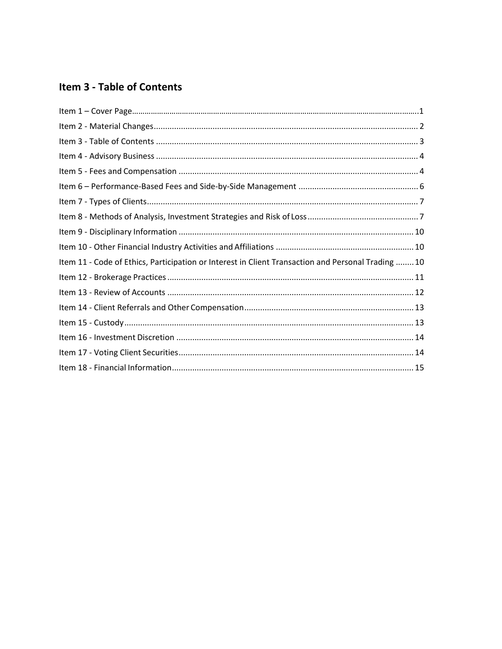# <span id="page-2-0"></span>Item 3 - Table of Contents

| Item 11 - Code of Ethics, Participation or Interest in Client Transaction and Personal Trading  10 |  |
|----------------------------------------------------------------------------------------------------|--|
|                                                                                                    |  |
|                                                                                                    |  |
|                                                                                                    |  |
|                                                                                                    |  |
|                                                                                                    |  |
|                                                                                                    |  |
|                                                                                                    |  |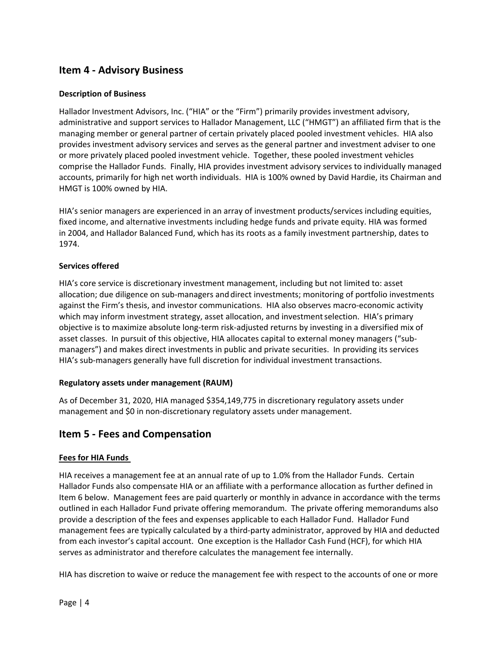## <span id="page-3-0"></span>**Item 4 - Advisory Business**

#### **Description of Business**

Hallador Investment Advisors, Inc. ("HIA" or the "Firm") primarily provides investment advisory, administrative and support services to Hallador Management, LLC ("HMGT") an affiliated firm that is the managing member or general partner of certain privately placed pooled investment vehicles. HIA also provides investment advisory services and serves as the general partner and investment adviser to one or more privately placed pooled investment vehicle. Together, these pooled investment vehicles comprise the Hallador Funds. Finally, HIA provides investment advisory services to individually managed accounts, primarily for high net worth individuals. HIA is 100% owned by David Hardie, its Chairman and HMGT is 100% owned by HIA.

HIA's senior managers are experienced in an array of investment products/services including equities, fixed income, and alternative investments including hedge funds and private equity. HIA was formed in 2004, and Hallador Balanced Fund, which has its roots as a family investment partnership, dates to 1974.

### **Services offered**

HIA's core service is discretionary investment management, including but not limited to: asset allocation; due diligence on sub-managers and direct investments; monitoring of portfolio investments against the Firm's thesis, and investor communications. HIA also observes macro-economic activity which may inform investment strategy, asset allocation, and investment selection. HIA's primary objective is to maximize absolute long-term risk-adjusted returns by investing in a diversified mix of asset classes. In pursuit of this objective, HIA allocates capital to external money managers ("submanagers") and makes direct investments in public and private securities. In providing its services HIA's sub-managers generally have full discretion for individual investment transactions.

#### **Regulatory assets under management (RAUM)**

As of December 31, 2020, HIA managed \$354,149,775 in discretionary regulatory assets under management and \$0 in non-discretionary regulatory assets under management.

### <span id="page-3-1"></span>**Item 5 - Fees and Compensation**

### **Fees for HIA Funds**

HIA receives a management fee at an annual rate of up to 1.0% from the Hallador Funds. Certain Hallador Funds also compensate HIA or an affiliate with a performance allocation as further defined in Item 6 below. Management fees are paid quarterly or monthly in advance in accordance with the terms outlined in each Hallador Fund private offering memorandum. The private offering memorandums also provide a description of the fees and expenses applicable to each Hallador Fund. Hallador Fund management fees are typically calculated by a third-party administrator, approved by HIA and deducted from each investor's capital account. One exception is the Hallador Cash Fund (HCF), for which HIA serves as administrator and therefore calculates the management fee internally.

HIA has discretion to waive or reduce the management fee with respect to the accounts of one or more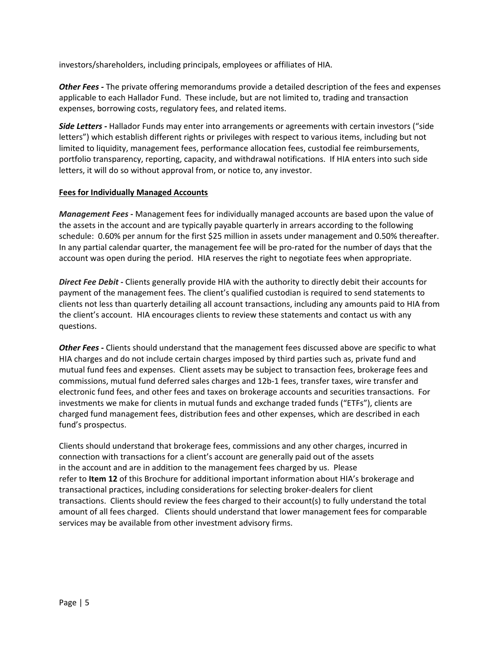investors/shareholders, including principals, employees or affiliates of HIA.

*Other Fees -* The private offering memorandums provide a detailed description of the fees and expenses applicable to each Hallador Fund. These include, but are not limited to, trading and transaction expenses, borrowing costs, regulatory fees, and related items.

*Side Letters -* Hallador Funds may enter into arrangements or agreements with certain investors ("side letters") which establish different rights or privileges with respect to various items, including but not limited to liquidity, management fees, performance allocation fees, custodial fee reimbursements, portfolio transparency, reporting, capacity, and withdrawal notifications. If HIA enters into such side letters, it will do so without approval from, or notice to, any investor.

#### **Fees for Individually Managed Accounts**

*Management Fees -* Management fees for individually managed accounts are based upon the value of the assets in the account and are typically payable quarterly in arrears according to the following schedule: 0.60% per annum for the first \$25 million in assets under management and 0.50% thereafter. In any partial calendar quarter, the management fee will be pro-rated for the number of days that the account was open during the period. HIA reserves the right to negotiate fees when appropriate.

*Direct Fee Debit -* Clients generally provide HIA with the authority to directly debit their accounts for payment of the management fees. The client's qualified custodian is required to send statements to clients not less than quarterly detailing all account transactions, including any amounts paid to HIA from the client's account. HIA encourages clients to review these statements and contact us with any questions.

*Other Fees -* Clients should understand that the management fees discussed above are specific to what HIA charges and do not include certain charges imposed by third parties such as, private fund and mutual fund fees and expenses. Client assets may be subject to transaction fees, brokerage fees and commissions, mutual fund deferred sales charges and 12b-1 fees, transfer taxes, wire transfer and electronic fund fees, and other fees and taxes on brokerage accounts and securities transactions. For investments we make for clients in mutual funds and exchange traded funds ("ETFs"), clients are charged fund management fees, distribution fees and other expenses, which are described in each fund's prospectus.

Clients should understand that brokerage fees, commissions and any other charges, incurred in connection with transactions for a client's account are generally paid out of the assets in the account and are in addition to the management fees charged by us. Please refer to **Item 12** of this Brochure for additional important information about HIA's brokerage and transactional practices, including considerations for selecting broker-dealers for client transactions. Clients should review the fees charged to their account(s) to fully understand the total amount of all fees charged. Clients should understand that lower management fees for comparable services may be available from other investment advisory firms.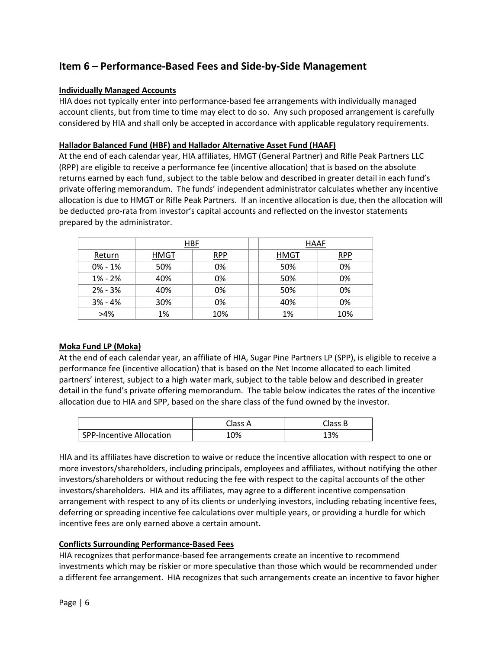## <span id="page-5-0"></span>**Item 6 – Performance-Based Fees and Side-by-Side Management**

### **Individually Managed Accounts**

HIA does not typically enter into performance-based fee arrangements with individually managed account clients, but from time to time may elect to do so. Any such proposed arrangement is carefully considered by HIA and shall only be accepted in accordance with applicable regulatory requirements.

#### **Hallador Balanced Fund (HBF) and Hallador Alternative Asset Fund (HAAF)**

At the end of each calendar year, HIA affiliates, HMGT (General Partner) and Rifle Peak Partners LLC (RPP) are eligible to receive a performance fee (incentive allocation) that is based on the absolute returns earned by each fund, subject to the table below and described in greater detail in each fund's private offering memorandum. The funds' independent administrator calculates whether any incentive allocation is due to HMGT or Rifle Peak Partners. If an incentive allocation is due, then the allocation will be deducted pro-rata from investor's capital accounts and reflected on the investor statements prepared by the administrator.

|             | HBF  |     | <b>HAAF</b> |     |
|-------------|------|-----|-------------|-----|
| Return      | HMGT | RPP | HMGT        | RPP |
| $0\% - 1\%$ | 50%  | 0%  | 50%         | 0%  |
| $1\% - 2\%$ | 40%  | 0%  | 50%         | 0%  |
| $2\% - 3\%$ | 40%  | 0%  | 50%         | 0%  |
| $3% - 4%$   | 30%  | 0%  | 40%         | 0%  |
| $>4\%$      | 1%   | 10% | 1%          | 10% |

#### **Moka Fund LP (Moka)**

At the end of each calendar year, an affiliate of HIA, Sugar Pine Partners LP (SPP), is eligible to receive a performance fee (incentive allocation) that is based on the Net Income allocated to each limited partners' interest, subject to a high water mark, subject to the table below and described in greater detail in the fund's private offering memorandum. The table below indicates the rates of the incentive allocation due to HIA and SPP, based on the share class of the fund owned by the investor.

|                          | Class A | Class B |
|--------------------------|---------|---------|
| SPP-Incentive Allocation | 10%     | 3%∟     |

HIA and its affiliates have discretion to waive or reduce the incentive allocation with respect to one or more investors/shareholders, including principals, employees and affiliates, without notifying the other investors/shareholders or without reducing the fee with respect to the capital accounts of the other investors/shareholders. HIA and its affiliates, may agree to a different incentive compensation arrangement with respect to any of its clients or underlying investors, including rebating incentive fees, deferring or spreading incentive fee calculations over multiple years, or providing a hurdle for which incentive fees are only earned above a certain amount.

#### **Conflicts Surrounding Performance-Based Fees**

HIA recognizes that performance-based fee arrangements create an incentive to recommend investments which may be riskier or more speculative than those which would be recommended under a different fee arrangement. HIA recognizes that such arrangements create an incentive to favor higher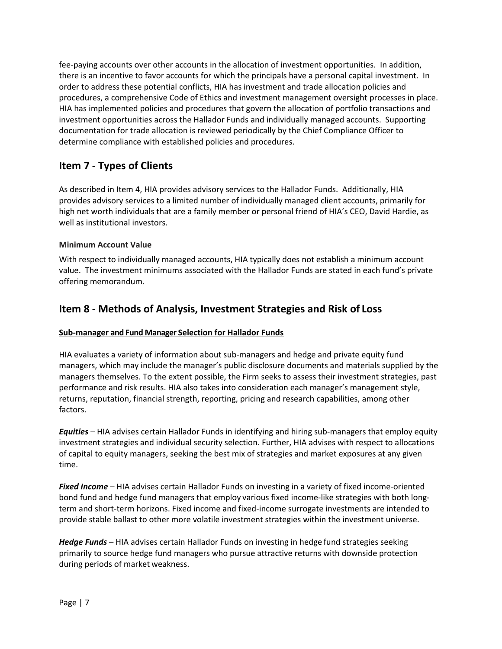fee-paying accounts over other accounts in the allocation of investment opportunities. In addition, there is an incentive to favor accounts for which the principals have a personal capital investment. In order to address these potential conflicts, HIA has investment and trade allocation policies and procedures, a comprehensive Code of Ethics and investment management oversight processes in place. HIA has implemented policies and procedures that govern the allocation of portfolio transactions and investment opportunities across the Hallador Funds and individually managed accounts. Supporting documentation for trade allocation is reviewed periodically by the Chief Compliance Officer to determine compliance with established policies and procedures.

## <span id="page-6-0"></span>**Item 7 - Types of Clients**

As described in Item 4, HIA provides advisory services to the Hallador Funds. Additionally, HIA provides advisory services to a limited number of individually managed client accounts, primarily for high net worth individuals that are a family member or personal friend of HIA's CEO, David Hardie, as well as institutional investors.

### **Minimum Account Value**

With respect to individually managed accounts, HIA typically does not establish a minimum account value. The investment minimums associated with the Hallador Funds are stated in each fund's private offering memorandum.

### <span id="page-6-1"></span>**Item 8 - Methods of Analysis, Investment Strategies and Risk of Loss**

#### **Sub-manager and Fund Manager Selection for Hallador Funds**

HIA evaluates a variety of information about sub-managers and hedge and private equity fund managers, which may include the manager's public disclosure documents and materials supplied by the managers themselves. To the extent possible, the Firm seeks to assess their investment strategies, past performance and risk results. HIA also takes into consideration each manager's management style, returns, reputation, financial strength, reporting, pricing and research capabilities, among other factors.

*Equities* – HIA advises certain Hallador Funds in identifying and hiring sub-managers that employ equity investment strategies and individual security selection. Further, HIA advises with respect to allocations of capital to equity managers, seeking the best mix of strategies and market exposures at any given time.

*Fixed Income* – HIA advises certain Hallador Funds on investing in a variety of fixed income-oriented bond fund and hedge fund managers that employ various fixed income-like strategies with both longterm and short-term horizons. Fixed income and fixed-income surrogate investments are intended to provide stable ballast to other more volatile investment strategies within the investment universe.

*Hedge Funds* – HIA advises certain Hallador Funds on investing in hedge fund strategies seeking primarily to source hedge fund managers who pursue attractive returns with downside protection during periods of market weakness.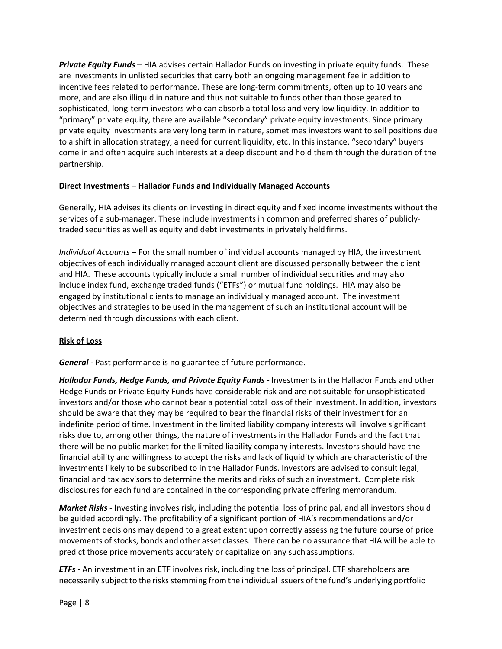*Private Equity Funds* – HIA advises certain Hallador Funds on investing in private equity funds. These are investments in unlisted securities that carry both an ongoing management fee in addition to incentive fees related to performance. These are long-term commitments, often up to 10 years and more, and are also illiquid in nature and thus not suitable to funds other than those geared to sophisticated, long-term investors who can absorb a total loss and very low liquidity. In addition to "primary" private equity, there are available "secondary" private equity investments. Since primary private equity investments are very long term in nature, sometimes investors want to sell positions due to a shift in allocation strategy, a need for current liquidity, etc. In this instance, "secondary" buyers come in and often acquire such interests at a deep discount and hold them through the duration of the partnership.

#### **Direct Investments – Hallador Funds and Individually Managed Accounts**

Generally, HIA advises its clients on investing in direct equity and fixed income investments without the services of a sub-manager. These include investments in common and preferred shares of publiclytraded securities as well as equity and debt investments in privately held firms.

*Individual Accounts* – For the small number of individual accounts managed by HIA, the investment objectives of each individually managed account client are discussed personally between the client and HIA. These accounts typically include a small number of individual securities and may also include index fund, exchange traded funds ("ETFs") or mutual fund holdings. HIA may also be engaged by institutional clients to manage an individually managed account. The investment objectives and strategies to be used in the management of such an institutional account will be determined through discussions with each client.

### **Risk of Loss**

*General -* Past performance is no guarantee of future performance.

*Hallador Funds, Hedge Funds, and Private Equity Funds -* Investments in the Hallador Funds and other Hedge Funds or Private Equity Funds have considerable risk and are not suitable for unsophisticated investors and/or those who cannot bear a potential total loss of their investment. In addition, investors should be aware that they may be required to bear the financial risks of their investment for an indefinite period of time. Investment in the limited liability company interests will involve significant risks due to, among other things, the nature of investments in the Hallador Funds and the fact that there will be no public market for the limited liability company interests. Investors should have the financial ability and willingness to accept the risks and lack of liquidity which are characteristic of the investments likely to be subscribed to in the Hallador Funds. Investors are advised to consult legal, financial and tax advisors to determine the merits and risks of such an investment. Complete risk disclosures for each fund are contained in the corresponding private offering memorandum.

*Market Risks* **-** Investing involves risk, including the potential loss of principal, and all investors should be guided accordingly. The profitability of a significant portion of HIA's recommendations and/or investment decisions may depend to a great extent upon correctly assessing the future course of price movements of stocks, bonds and other asset classes. There can be no assurance that HIA will be able to predict those price movements accurately or capitalize on any such assumptions.

*ETFs -* An investment in an ETF involves risk, including the loss of principal. ETF shareholders are necessarily subject to the risks stemming from the individual issuers of the fund's underlying portfolio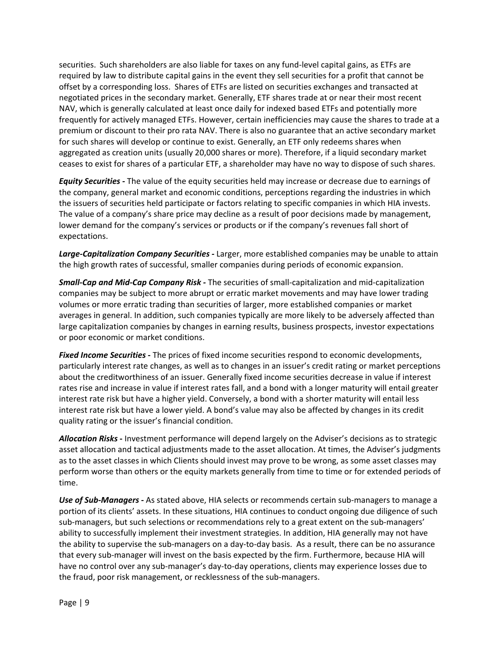securities. Such shareholders are also liable for taxes on any fund-level capital gains, as ETFs are required by law to distribute capital gains in the event they sell securities for a profit that cannot be offset by a corresponding loss. Shares of ETFs are listed on securities exchanges and transacted at negotiated prices in the secondary market. Generally, ETF shares trade at or near their most recent NAV, which is generally calculated at least once daily for indexed based ETFs and potentially more frequently for actively managed ETFs. However, certain inefficiencies may cause the shares to trade at a premium or discount to their pro rata NAV. There is also no guarantee that an active secondary market for such shares will develop or continue to exist. Generally, an ETF only redeems shares when aggregated as creation units (usually 20,000 shares or more). Therefore, if a liquid secondary market ceases to exist for shares of a particular ETF, a shareholder may have no way to dispose of such shares.

*Equity Securities -* The value of the equity securities held may increase or decrease due to earnings of the company, general market and economic conditions, perceptions regarding the industries in which the issuers of securities held participate or factors relating to specific companies in which HIA invests. The value of a company's share price may decline as a result of poor decisions made by management, lower demand for the company's services or products or if the company's revenues fall short of expectations.

*Large-Capitalization Company Securities -* Larger, more established companies may be unable to attain the high growth rates of successful, smaller companies during periods of economic expansion.

*Small-Cap and Mid-Cap Company Risk -* The securities of small-capitalization and mid-capitalization companies may be subject to more abrupt or erratic market movements and may have lower trading volumes or more erratic trading than securities of larger, more established companies or market averages in general. In addition, such companies typically are more likely to be adversely affected than large capitalization companies by changes in earning results, business prospects, investor expectations or poor economic or market conditions.

*Fixed Income Securities* **-** The prices of fixed income securities respond to economic developments, particularly interest rate changes, as well as to changes in an issuer's credit rating or market perceptions about the creditworthiness of an issuer. Generally fixed income securities decrease in value if interest rates rise and increase in value if interest rates fall, and a bond with a longer maturity will entail greater interest rate risk but have a higher yield. Conversely, a bond with a shorter maturity will entail less interest rate risk but have a lower yield. A bond's value may also be affected by changes in its credit quality rating or the issuer's financial condition.

*Allocation Risks* **-** Investment performance will depend largely on the Adviser's decisions as to strategic asset allocation and tactical adjustments made to the asset allocation. At times, the Adviser's judgments as to the asset classes in which Clients should invest may prove to be wrong, as some asset classes may perform worse than others or the equity markets generally from time to time or for extended periods of time.

*Use of Sub-Managers* **-** As stated above, HIA selects or recommends certain sub-managers to manage a portion of its clients' assets. In these situations, HIA continues to conduct ongoing due diligence of such sub-managers, but such selections or recommendations rely to a great extent on the sub-managers' ability to successfully implement their investment strategies. In addition, HIA generally may not have the ability to supervise the sub-managers on a day-to-day basis. As a result, there can be no assurance that every sub-manager will invest on the basis expected by the firm. Furthermore, because HIA will have no control over any sub-manager's day-to-day operations, clients may experience losses due to the fraud, poor risk management, or recklessness of the sub-managers.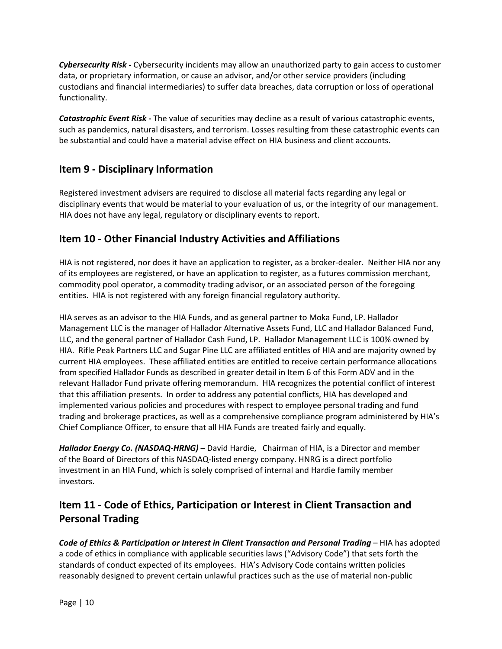*Cybersecurity Risk* **-** Cybersecurity incidents may allow an unauthorized party to gain access to customer data, or proprietary information, or cause an advisor, and/or other service providers (including custodians and financial intermediaries) to suffer data breaches, data corruption or loss of operational functionality.

*Catastrophic Event Risk* **-** The value of securities may decline as a result of various catastrophic events, such as pandemics, natural disasters, and terrorism. Losses resulting from these catastrophic events can be substantial and could have a material advise effect on HIA business and client accounts.

## <span id="page-9-0"></span>**Item 9 - Disciplinary Information**

Registered investment advisers are required to disclose all material facts regarding any legal or disciplinary events that would be material to your evaluation of us, or the integrity of our management. HIA does not have any legal, regulatory or disciplinary events to report.

## <span id="page-9-1"></span>**Item 10 - Other Financial Industry Activities and Affiliations**

HIA is not registered, nor does it have an application to register, as a broker-dealer. Neither HIA nor any of its employees are registered, or have an application to register, as a futures commission merchant, commodity pool operator, a commodity trading advisor, or an associated person of the foregoing entities. HIA is not registered with any foreign financial regulatory authority.

HIA serves as an advisor to the HIA Funds, and as general partner to Moka Fund, LP. Hallador Management LLC is the manager of Hallador Alternative Assets Fund, LLC and Hallador Balanced Fund, LLC, and the general partner of Hallador Cash Fund, LP. Hallador Management LLC is 100% owned by HIA. Rifle Peak Partners LLC and Sugar Pine LLC are affiliated entitles of HIA and are majority owned by current HIA employees. These affiliated entities are entitled to receive certain performance allocations from specified Hallador Funds as described in greater detail in Item 6 of this Form ADV and in the relevant Hallador Fund private offering memorandum. HIA recognizes the potential conflict of interest that this affiliation presents. In order to address any potential conflicts, HIA has developed and implemented various policies and procedures with respect to employee personal trading and fund trading and brokerage practices, as well as a comprehensive compliance program administered by HIA's Chief Compliance Officer, to ensure that all HIA Funds are treated fairly and equally.

*Hallador Energy Co. (NASDAQ-HRNG)* – David Hardie, Chairman of HIA, is a Director and member of the Board of Directors of this NASDAQ-listed energy company. HNRG is a direct portfolio investment in an HIA Fund, which is solely comprised of internal and Hardie family member investors.

# <span id="page-9-2"></span>**Item 11 - Code of Ethics, Participation or Interest in Client Transaction and Personal Trading**

**Code of Ethics & Participation or Interest in Client Transaction and Personal Trading – HIA has adopted** a code of ethics in compliance with applicable securities laws ("Advisory Code") that sets forth the standards of conduct expected of its employees. HIA's Advisory Code contains written policies reasonably designed to prevent certain unlawful practices such as the use of material non-public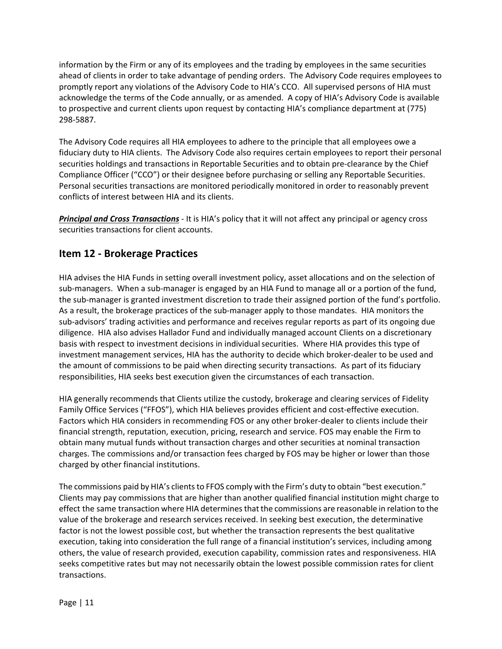information by the Firm or any of its employees and the trading by employees in the same securities ahead of clients in order to take advantage of pending orders. The Advisory Code requires employees to promptly report any violations of the Advisory Code to HIA's CCO. All supervised persons of HIA must acknowledge the terms of the Code annually, or as amended. A copy of HIA's Advisory Code is available to prospective and current clients upon request by contacting HIA's compliance department at (775) 298-5887.

The Advisory Code requires all HIA employees to adhere to the principle that all employees owe a fiduciary duty to HIA clients. The Advisory Code also requires certain employees to report their personal securities holdings and transactions in Reportable Securities and to obtain pre-clearance by the Chief Compliance Officer ("CCO") or their designee before purchasing or selling any Reportable Securities. Personal securities transactions are monitored periodically monitored in order to reasonably prevent conflicts of interest between HIA and its clients.

*Principal and Cross Transactions -* It is HIA's policy that it will not affect any principal or agency cross securities transactions for client accounts.

## <span id="page-10-0"></span>**Item 12 - Brokerage Practices**

HIA advises the HIA Funds in setting overall investment policy, asset allocations and on the selection of sub-managers. When a sub-manager is engaged by an HIA Fund to manage all or a portion of the fund, the sub-manager is granted investment discretion to trade their assigned portion of the fund's portfolio. As a result, the brokerage practices of the sub-manager apply to those mandates. HIA monitors the sub-advisors' trading activities and performance and receives regular reports as part of its ongoing due diligence. HIA also advises Hallador Fund and individually managed account Clients on a discretionary basis with respect to investment decisions in individualsecurities. Where HIA provides this type of investment management services, HIA has the authority to decide which broker-dealer to be used and the amount of commissions to be paid when directing security transactions. As part of its fiduciary responsibilities, HIA seeks best execution given the circumstances of each transaction.

HIA generally recommends that Clients utilize the custody, brokerage and clearing services of Fidelity Family Office Services ("FFOS"), which HIA believes provides efficient and cost-effective execution. Factors which HIA considers in recommending FOS or any other broker-dealer to clients include their financial strength, reputation, execution, pricing, research and service. FOS may enable the Firm to obtain many mutual funds without transaction charges and other securities at nominal transaction charges. The commissions and/or transaction fees charged by FOS may be higher or lower than those charged by other financial institutions.

The commissions paid by HIA's clients to FFOS comply with the Firm's duty to obtain "best execution." Clients may pay commissions that are higher than another qualified financial institution might charge to effect the same transaction where HIA determines that the commissions are reasonable in relation to the value of the brokerage and research services received. In seeking best execution, the determinative factor is not the lowest possible cost, but whether the transaction represents the best qualitative execution, taking into consideration the full range of a financial institution's services, including among others, the value of research provided, execution capability, commission rates and responsiveness. HIA seeks competitive rates but may not necessarily obtain the lowest possible commission rates for client transactions.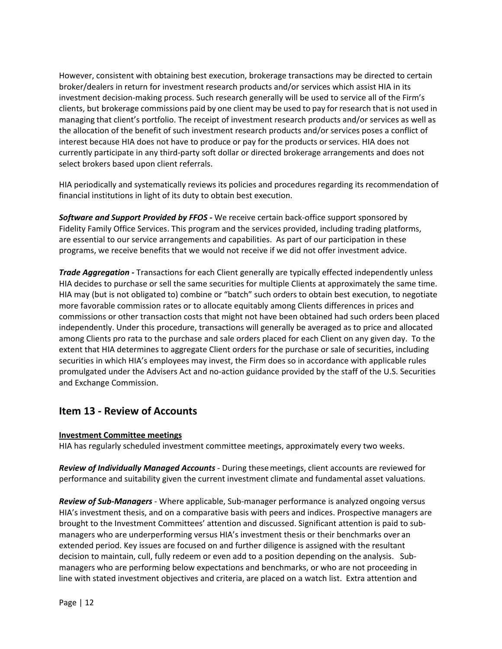However, consistent with obtaining best execution, brokerage transactions may be directed to certain broker/dealers in return for investment research products and/or services which assist HIA in its investment decision-making process. Such research generally will be used to service all of the Firm's clients, but brokerage commissions paid by one client may be used to pay for research that is not used in managing that client's portfolio. The receipt of investment research products and/or services as well as the allocation of the benefit of such investment research products and/or services poses a conflict of interest because HIA does not have to produce or pay for the products orservices. HIA does not currently participate in any third-party soft dollar or directed brokerage arrangements and does not select brokers based upon client referrals.

HIA periodically and systematically reviews its policies and procedures regarding its recommendation of financial institutions in light of its duty to obtain best execution.

*Software and Support Provided by FFOS -* We receive certain back-office support sponsored by Fidelity Family Office Services. This program and the services provided, including trading platforms, are essential to our service arrangements and capabilities. As part of our participation in these programs, we receive benefits that we would not receive if we did not offer investment advice.

*Trade Aggregation -* Transactions for each Client generally are typically effected independently unless HIA decides to purchase or sell the same securities for multiple Clients at approximately the same time. HIA may (but is not obligated to) combine or "batch" such orders to obtain best execution, to negotiate more favorable commission rates or to allocate equitably among Clients differences in prices and commissions or other transaction costs that might not have been obtained had such orders been placed independently. Under this procedure, transactions will generally be averaged as to price and allocated among Clients pro rata to the purchase and sale orders placed for each Client on any given day. To the extent that HIA determines to aggregate Client orders for the purchase or sale of securities, including securities in which HIA's employees may invest, the Firm does so in accordance with applicable rules promulgated under the Advisers Act and no-action guidance provided by the staff of the U.S. Securities and Exchange Commission.

### <span id="page-11-0"></span>**Item 13 - Review of Accounts**

#### **Investment Committee meetings**

HIA has regularly scheduled investment committee meetings, approximately every two weeks.

*Review of Individually Managed Accounts* - During thesemeetings, client accounts are reviewed for performance and suitability given the current investment climate and fundamental asset valuations.

*Review of Sub-Managers* - Where applicable, Sub-manager performance is analyzed ongoing versus HIA's investment thesis, and on a comparative basis with peers and indices. Prospective managers are brought to the Investment Committees' attention and discussed. Significant attention is paid to submanagers who are underperforming versus HIA's investment thesis or their benchmarks over an extended period. Key issues are focused on and further diligence is assigned with the resultant decision to maintain, cull, fully redeem or even add to a position depending on the analysis. Submanagers who are performing below expectations and benchmarks, or who are not proceeding in line with stated investment objectives and criteria, are placed on a watch list. Extra attention and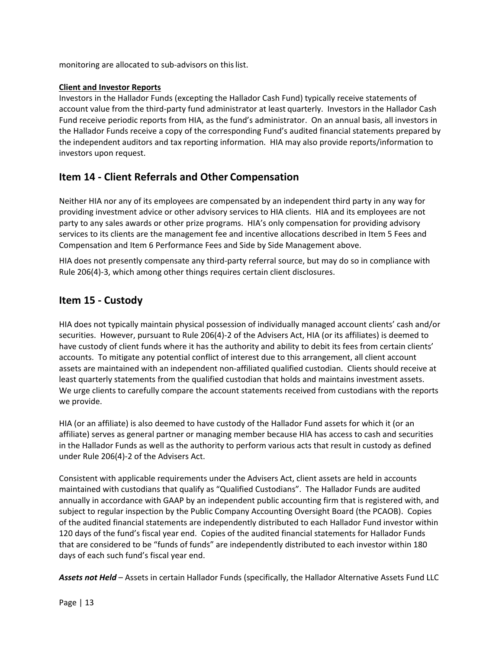monitoring are allocated to sub-advisors on this list.

#### **Client and Investor Reports**

Investors in the Hallador Funds (excepting the Hallador Cash Fund) typically receive statements of account value from the third-party fund administrator at least quarterly. Investors in the Hallador Cash Fund receive periodic reports from HIA, as the fund's administrator. On an annual basis, all investors in the Hallador Funds receive a copy of the corresponding Fund's audited financial statements prepared by the independent auditors and tax reporting information. HIA may also provide reports/information to investors upon request.

### <span id="page-12-0"></span>**Item 14 - Client Referrals and Other Compensation**

Neither HIA nor any of its employees are compensated by an independent third party in any way for providing investment advice or other advisory services to HIA clients. HIA and its employees are not party to any sales awards or other prize programs. HIA's only compensation for providing advisory services to its clients are the management fee and incentive allocations described in Item 5 Fees and Compensation and Item 6 Performance Fees and Side by Side Management above.

HIA does not presently compensate any third-party referral source, but may do so in compliance with Rule 206(4)-3, which among other things requires certain client disclosures.

### <span id="page-12-1"></span>**Item 15 - Custody**

HIA does not typically maintain physical possession of individually managed account clients' cash and/or securities. However, pursuant to Rule 206(4)-2 of the Advisers Act, HIA (or its affiliates) is deemed to have custody of client funds where it has the authority and ability to debit its fees from certain clients' accounts. To mitigate any potential conflict of interest due to this arrangement, all client account assets are maintained with an independent non-affiliated qualified custodian. Clients should receive at least quarterly statements from the qualified custodian that holds and maintains investment assets. We urge clients to carefully compare the account statements received from custodians with the reports we provide.

HIA (or an affiliate) is also deemed to have custody of the Hallador Fund assets for which it (or an affiliate) serves as general partner or managing member because HIA has access to cash and securities in the Hallador Funds as well as the authority to perform various acts that result in custody as defined under Rule 206(4)-2 of the Advisers Act.

Consistent with applicable requirements under the Advisers Act, client assets are held in accounts maintained with custodians that qualify as "Qualified Custodians". The Hallador Funds are audited annually in accordance with GAAP by an independent public accounting firm that is registered with, and subject to regular inspection by the Public Company Accounting Oversight Board (the PCAOB). Copies of the audited financial statements are independently distributed to each Hallador Fund investor within 120 days of the fund's fiscal year end. Copies of the audited financial statements for Hallador Funds that are considered to be "funds of funds" are independently distributed to each investor within 180 days of each such fund's fiscal year end.

*Assets not Held* – Assets in certain Hallador Funds (specifically, the Hallador Alternative Assets Fund LLC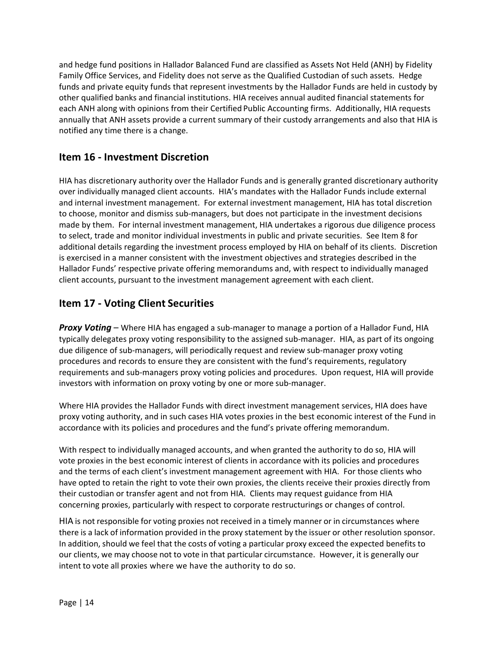and hedge fund positions in Hallador Balanced Fund are classified as Assets Not Held (ANH) by Fidelity Family Office Services, and Fidelity does not serve as the Qualified Custodian of such assets. Hedge funds and private equity funds that represent investments by the Hallador Funds are held in custody by other qualified banks and financial institutions. HIA receives annual audited financial statements for each ANH along with opinions from their Certified Public Accounting firms. Additionally, HIA requests annually that ANH assets provide a current summary of their custody arrangements and also that HIA is notified any time there is a change.

## <span id="page-13-0"></span>**Item 16 - Investment Discretion**

HIA has discretionary authority over the Hallador Funds and is generally granted discretionary authority over individually managed client accounts. HIA's mandates with the Hallador Funds include external and internal investment management. For external investment management, HIA has total discretion to choose, monitor and dismiss sub-managers, but does not participate in the investment decisions made by them. For internal investment management, HIA undertakes a rigorous due diligence process to select, trade and monitor individual investments in public and private securities. See Item 8 for additional details regarding the investment process employed by HIA on behalf of its clients. Discretion is exercised in a manner consistent with the investment objectives and strategies described in the Hallador Funds' respective private offering memorandums and, with respect to individually managed client accounts, pursuant to the investment management agreement with each client.

## <span id="page-13-1"></span>**Item 17 - Voting Client Securities**

*Proxy Voting* – Where HIA has engaged a sub-manager to manage a portion of a Hallador Fund, HIA typically delegates proxy voting responsibility to the assigned sub-manager. HIA, as part of its ongoing due diligence of sub-managers, will periodically request and review sub-manager proxy voting procedures and records to ensure they are consistent with the fund's requirements, regulatory requirements and sub-managers proxy voting policies and procedures. Upon request, HIA will provide investors with information on proxy voting by one or more sub-manager.

Where HIA provides the Hallador Funds with direct investment management services, HIA does have proxy voting authority, and in such cases HIA votes proxies in the best economic interest of the Fund in accordance with its policies and procedures and the fund's private offering memorandum.

With respect to individually managed accounts, and when granted the authority to do so, HIA will vote proxies in the best economic interest of clients in accordance with its policies and procedures and the terms of each client's investment management agreement with HIA. For those clients who have opted to retain the right to vote their own proxies, the clients receive their proxies directly from their custodian or transfer agent and not from HIA. Clients may request guidance from HIA concerning proxies, particularly with respect to corporate restructurings or changes of control.

HIA is not responsible for voting proxies not received in a timely manner or in circumstances where there is a lack of information provided in the proxy statement by the issuer or other resolution sponsor. In addition, should we feel that the costs of voting a particular proxy exceed the expected benefits to our clients, we may choose not to vote in that particular circumstance. However, it is generally our intent to vote all proxies where we have the authority to do so.